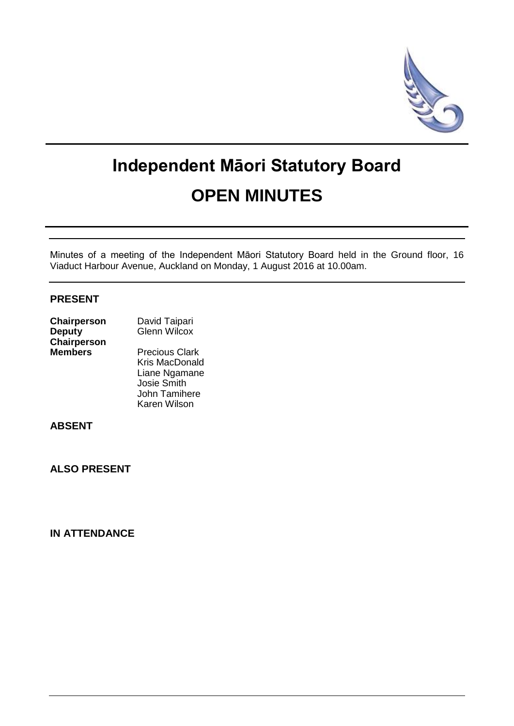

# **Independent Māori Statutory Board OPEN MINUTES**

Minutes of a meeting of the Independent Māori Statutory Board held in the Ground floor, 16 Viaduct Harbour Avenue, Auckland on Monday, 1 August 2016 at 10.00am.

## **PRESENT**

| Chairperson        | David Taipari         |
|--------------------|-----------------------|
| <b>Deputy</b>      | <b>Glenn Wilcox</b>   |
| <b>Chairperson</b> |                       |
| <b>Members</b>     | <b>Precious Clark</b> |
|                    | <b>Kris MacDonald</b> |
|                    | Liane Ngamane         |
|                    |                       |

 Josie Smith John Tamihere Karen Wilson

## **ABSENT**

**ALSO PRESENT**

# **IN ATTENDANCE**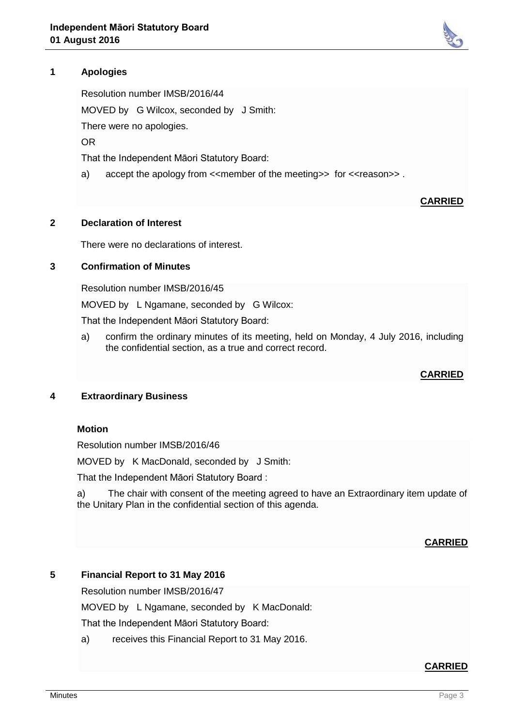# **1 Apologies**

Resolution number IMSB/2016/44 MOVED by G Wilcox, seconded by J Smith: There were no apologies. OR

That the Independent Māori Statutory Board:

a) accept the apology from <<member of the meeting>> for <<reason>> .

# **CARRIED**

#### **2 Declaration of Interest**

There were no declarations of interest.

### **3 Confirmation of Minutes**

Resolution number IMSB/2016/45

MOVED by L Ngamane, seconded by G Wilcox:

That the Independent Māori Statutory Board:

a) confirm the ordinary minutes of its meeting, held on Monday, 4 July 2016, including the confidential section, as a true and correct record.

#### **CARRIED**

### **4 Extraordinary Business**

#### **Motion**

Resolution number IMSB/2016/46

MOVED by K MacDonald, seconded by J Smith:

That the Independent Māori Statutory Board :

a) The chair with consent of the meeting agreed to have an Extraordinary item update of the Unitary Plan in the confidential section of this agenda.

#### **CARRIED**

### **5 Financial Report to 31 May 2016**

Resolution number IMSB/2016/47

MOVED by L Ngamane, seconded by K MacDonald:

That the Independent Māori Statutory Board:

a) receives this Financial Report to 31 May 2016.

#### **CARRIED**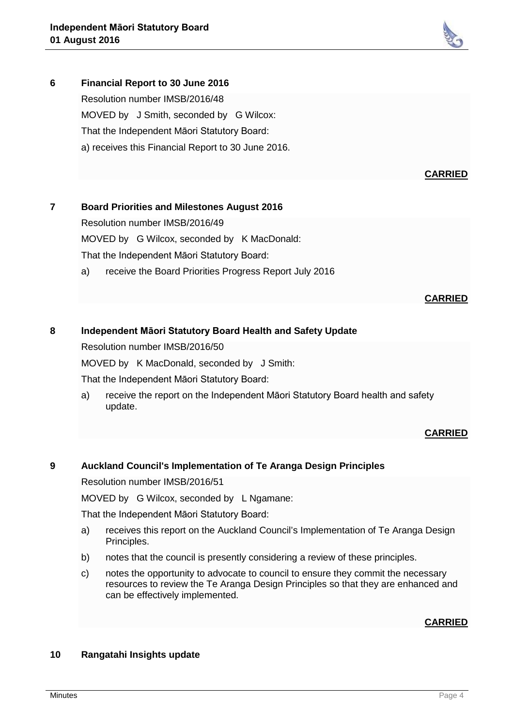

**6 Financial Report to 30 June 2016** Resolution number IMSB/2016/48 MOVED by J Smith, seconded by G Wilcox: That the Independent Māori Statutory Board: a) receives this Financial Report to 30 June 2016.

#### **CARRIED**

## **7 Board Priorities and Milestones August 2016**

Resolution number IMSB/2016/49

MOVED by G Wilcox, seconded by K MacDonald:

That the Independent Māori Statutory Board:

a) receive the Board Priorities Progress Report July 2016

#### **CARRIED**

## **8 Independent Māori Statutory Board Health and Safety Update**

Resolution number IMSB/2016/50

MOVED by K MacDonald, seconded by J Smith:

That the Independent Māori Statutory Board:

a) receive the report on the Independent Māori Statutory Board health and safety update.

### **CARRIED**

### **9 Auckland Council's Implementation of Te Aranga Design Principles**

Resolution number IMSB/2016/51

MOVED by G Wilcox, seconded by L Ngamane:

That the Independent Māori Statutory Board:

- a) receives this report on the Auckland Council's Implementation of Te Aranga Design Principles.
- b) notes that the council is presently considering a review of these principles.
- c) notes the opportunity to advocate to council to ensure they commit the necessary resources to review the Te Aranga Design Principles so that they are enhanced and can be effectively implemented.

### **CARRIED**

### **10 Rangatahi Insights update**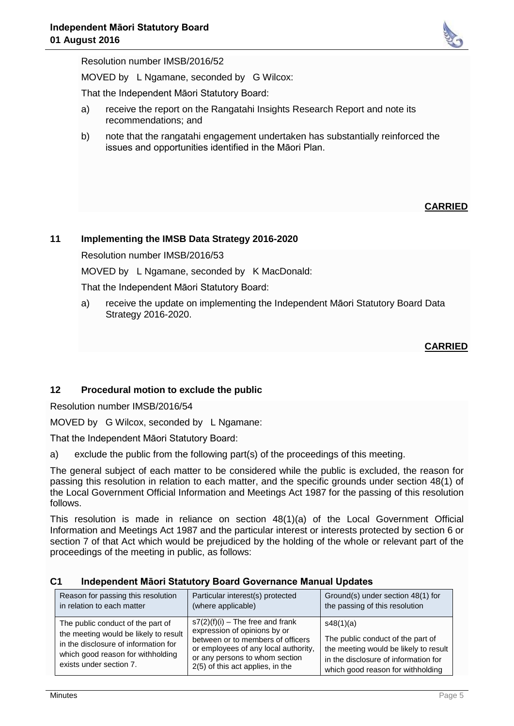

Resolution number IMSB/2016/52

MOVED by L Ngamane, seconded by G Wilcox:

That the Independent Māori Statutory Board:

- a) receive the report on the Rangatahi Insights Research Report and note its recommendations; and
- b) note that the rangatahi engagement undertaken has substantially reinforced the issues and opportunities identified in the Māori Plan.

# **CARRIED**

## **11 Implementing the IMSB Data Strategy 2016-2020**

Resolution number IMSB/2016/53

MOVED by L Ngamane, seconded by K MacDonald:

That the Independent Māori Statutory Board:

a) receive the update on implementing the Independent Māori Statutory Board Data Strategy 2016-2020.

## **CARRIED**

### **12 Procedural motion to exclude the public**

Resolution number IMSB/2016/54

MOVED by G Wilcox, seconded by L Ngamane:

That the Independent Māori Statutory Board:

a) exclude the public from the following part(s) of the proceedings of this meeting.

The general subject of each matter to be considered while the public is excluded, the reason for passing this resolution in relation to each matter, and the specific grounds under section 48(1) of the Local Government Official Information and Meetings Act 1987 for the passing of this resolution follows.

This resolution is made in reliance on section 48(1)(a) of the Local Government Official Information and Meetings Act 1987 and the particular interest or interests protected by section 6 or section 7 of that Act which would be prejudiced by the holding of the whole or relevant part of the proceedings of the meeting in public, as follows:

| Reason for passing this resolution                                                                                                                                                 | Particular interest(s) protected                                                                                                                                                                                      | Ground(s) under section 48(1) for                                                                                                                                    |
|------------------------------------------------------------------------------------------------------------------------------------------------------------------------------------|-----------------------------------------------------------------------------------------------------------------------------------------------------------------------------------------------------------------------|----------------------------------------------------------------------------------------------------------------------------------------------------------------------|
| in relation to each matter                                                                                                                                                         | (where applicable)                                                                                                                                                                                                    | the passing of this resolution                                                                                                                                       |
| The public conduct of the part of<br>the meeting would be likely to result<br>in the disclosure of information for<br>which good reason for withholding<br>exists under section 7. | $s7(2)(f)(i)$ – The free and frank<br>expression of opinions by or<br>between or to members of officers<br>or employees of any local authority,<br>or any persons to whom section<br>2(5) of this act applies, in the | s48(1)(a)<br>The public conduct of the part of<br>the meeting would be likely to result<br>in the disclosure of information for<br>which good reason for withholding |

### **C1 Independent Māori Statutory Board Governance Manual Updates**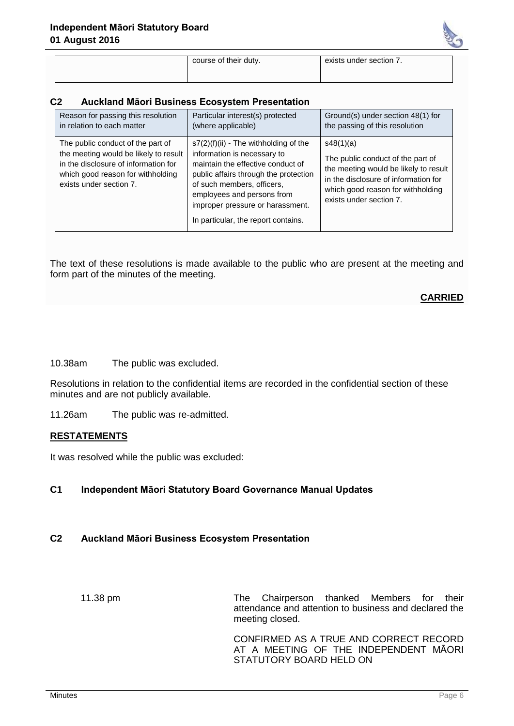

| course of their duty. |  |  |
|-----------------------|--|--|
|                       |  |  |

course of their duty. exists under section 7.

#### **C2 Auckland Māori Business Ecosystem Presentation**

| Reason for passing this resolution                                                                                                                                                 | Particular interest(s) protected                                                                                                                                                                                                                                                            | Ground(s) under section 48(1) for                                                                                                                                                               |
|------------------------------------------------------------------------------------------------------------------------------------------------------------------------------------|---------------------------------------------------------------------------------------------------------------------------------------------------------------------------------------------------------------------------------------------------------------------------------------------|-------------------------------------------------------------------------------------------------------------------------------------------------------------------------------------------------|
| in relation to each matter                                                                                                                                                         | (where applicable)                                                                                                                                                                                                                                                                          | the passing of this resolution                                                                                                                                                                  |
| The public conduct of the part of<br>the meeting would be likely to result<br>in the disclosure of information for<br>which good reason for withholding<br>exists under section 7. | $s7(2)(f)(ii)$ - The withholding of the<br>information is necessary to<br>maintain the effective conduct of<br>public affairs through the protection<br>of such members, officers,<br>employees and persons from<br>improper pressure or harassment.<br>In particular, the report contains. | s48(1)(a)<br>The public conduct of the part of<br>the meeting would be likely to result<br>in the disclosure of information for<br>which good reason for withholding<br>exists under section 7. |

The text of these resolutions is made available to the public who are present at the meeting and form part of the minutes of the meeting.

### **CARRIED**

10.38am The public was excluded.

Resolutions in relation to the confidential items are recorded in the confidential section of these minutes and are not publicly available.

11.26am The public was re-admitted.

#### **RESTATEMENTS**

It was resolved while the public was excluded:

### **C1 Independent Māori Statutory Board Governance Manual Updates**

## **C2 Auckland Māori Business Ecosystem Presentation**

11.38 pm The Chairperson thanked Members for their attendance and attention to business and declared the meeting closed.

> CONFIRMED AS A TRUE AND CORRECT RECORD AT A MEETING OF THE INDEPENDENT MĀORI STATUTORY BOARD HELD ON